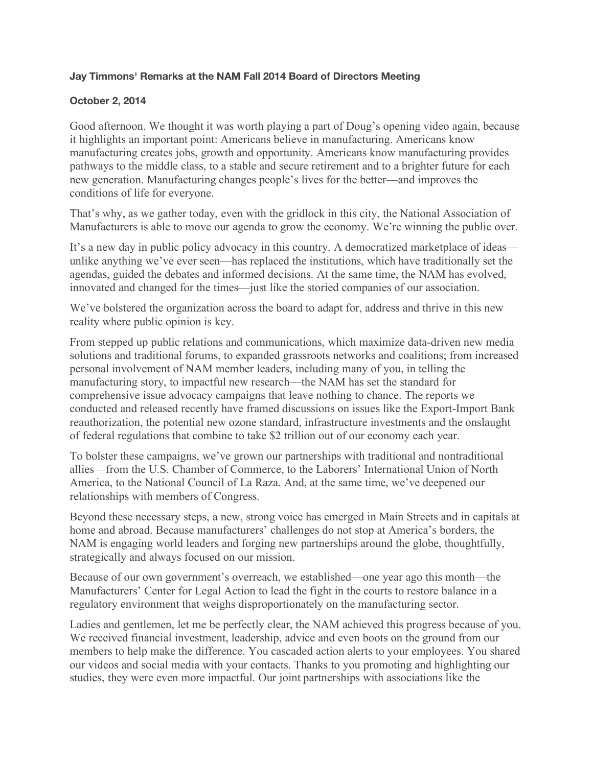## **Jay Timmons' Remarks at the NAM Fall 2014 Board of Directors Meeting**

## **October 2, 2014**

Good afternoon. We thought it was worth playing a part of Doug's opening video again, because it highlights an important point: Americans believe in manufacturing. Americans know manufacturing creates jobs, growth and opportunity. Americans know manufacturing provides pathways to the middle class, to a stable and secure retirement and to a brighter future for each new generation. Manufacturing changes people's lives for the better—and improves the conditions of life for everyone.

That's why, as we gather today, even with the gridlock in this city, the National Association of Manufacturers is able to move our agenda to grow the economy. We're winning the public over.

It's a new day in public policy advocacy in this country. A democratized marketplace of ideas unlike anything we've ever seen—has replaced the institutions, which have traditionally set the agendas, guided the debates and informed decisions. At the same time, the NAM has evolved, innovated and changed for the times—just like the storied companies of our association.

We've bolstered the organization across the board to adapt for, address and thrive in this new reality where public opinion is key.

From stepped up public relations and communications, which maximize data-driven new media solutions and traditional forums, to expanded grassroots networks and coalitions; from increased personal involvement of NAM member leaders, including many of you, in telling the manufacturing story, to impactful new research—the NAM has set the standard for comprehensive issue advocacy campaigns that leave nothing to chance. The reports we conducted and released recently have framed discussions on issues like the Export-Import Bank reauthorization, the potential new ozone standard, infrastructure investments and the onslaught of federal regulations that combine to take \$2 trillion out of our economy each year.

To bolster these campaigns, we've grown our partnerships with traditional and nontraditional allies—from the U.S. Chamber of Commerce, to the Laborers' International Union of North America, to the National Council of La Raza. And, at the same time, we've deepened our relationships with members of Congress.

Beyond these necessary steps, a new, strong voice has emerged in Main Streets and in capitals at home and abroad. Because manufacturers' challenges do not stop at America's borders, the NAM is engaging world leaders and forging new partnerships around the globe, thoughtfully, strategically and always focused on our mission.

Because of our own government's overreach, we established—one year ago this month—the Manufacturers' Center for Legal Action to lead the fight in the courts to restore balance in a regulatory environment that weighs disproportionately on the manufacturing sector.

Ladies and gentlemen, let me be perfectly clear, the NAM achieved this progress because of you. We received financial investment, leadership, advice and even boots on the ground from our members to help make the difference. You cascaded action alerts to your employees. You shared our videos and social media with your contacts. Thanks to you promoting and highlighting our studies, they were even more impactful. Our joint partnerships with associations like the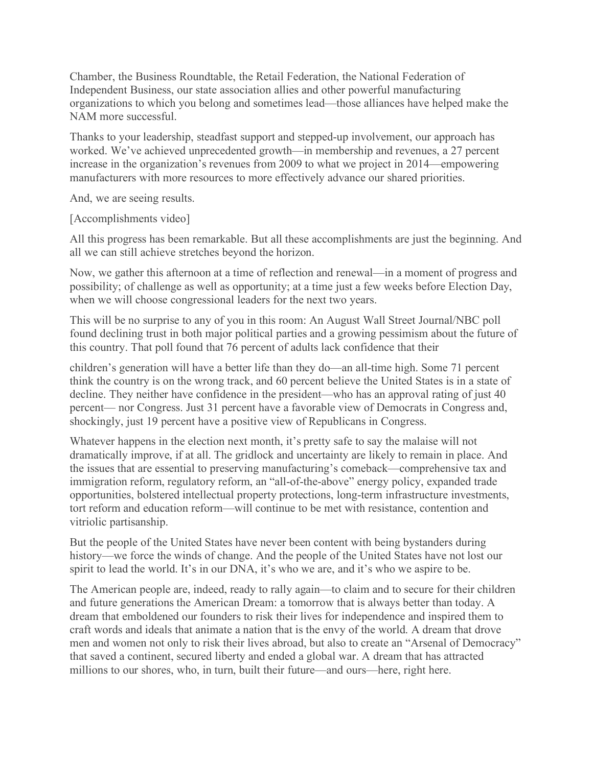Chamber, the Business Roundtable, the Retail Federation, the National Federation of Independent Business, our state association allies and other powerful manufacturing organizations to which you belong and sometimes lead—those alliances have helped make the NAM more successful.

Thanks to your leadership, steadfast support and stepped-up involvement, our approach has worked. We've achieved unprecedented growth—in membership and revenues, a 27 percent increase in the organization's revenues from 2009 to what we project in 2014—empowering manufacturers with more resources to more effectively advance our shared priorities.

And, we are seeing results.

[Accomplishments video]

All this progress has been remarkable. But all these accomplishments are just the beginning. And all we can still achieve stretches beyond the horizon.

Now, we gather this afternoon at a time of reflection and renewal—in a moment of progress and possibility; of challenge as well as opportunity; at a time just a few weeks before Election Day, when we will choose congressional leaders for the next two years.

This will be no surprise to any of you in this room: An August Wall Street Journal/NBC poll found declining trust in both major political parties and a growing pessimism about the future of this country. That poll found that 76 percent of adults lack confidence that their

children's generation will have a better life than they do—an all-time high. Some 71 percent think the country is on the wrong track, and 60 percent believe the United States is in a state of decline. They neither have confidence in the president—who has an approval rating of just 40 percent— nor Congress. Just 31 percent have a favorable view of Democrats in Congress and, shockingly, just 19 percent have a positive view of Republicans in Congress.

Whatever happens in the election next month, it's pretty safe to say the malaise will not dramatically improve, if at all. The gridlock and uncertainty are likely to remain in place. And the issues that are essential to preserving manufacturing's comeback—comprehensive tax and immigration reform, regulatory reform, an "all-of-the-above" energy policy, expanded trade opportunities, bolstered intellectual property protections, long-term infrastructure investments, tort reform and education reform—will continue to be met with resistance, contention and vitriolic partisanship.

But the people of the United States have never been content with being bystanders during history—we force the winds of change. And the people of the United States have not lost our spirit to lead the world. It's in our DNA, it's who we are, and it's who we aspire to be.

The American people are, indeed, ready to rally again—to claim and to secure for their children and future generations the American Dream: a tomorrow that is always better than today. A dream that emboldened our founders to risk their lives for independence and inspired them to craft words and ideals that animate a nation that is the envy of the world. A dream that drove men and women not only to risk their lives abroad, but also to create an "Arsenal of Democracy" that saved a continent, secured liberty and ended a global war. A dream that has attracted millions to our shores, who, in turn, built their future—and ours—here, right here.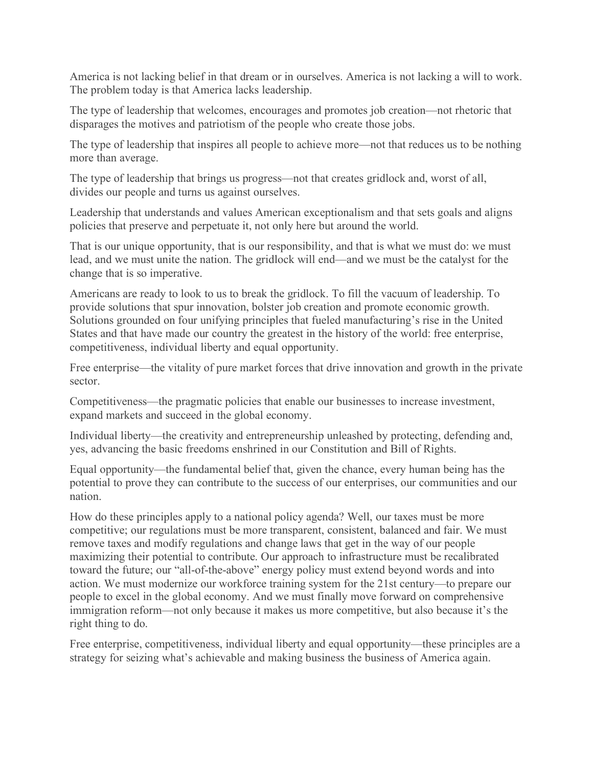America is not lacking belief in that dream or in ourselves. America is not lacking a will to work. The problem today is that America lacks leadership.

The type of leadership that welcomes, encourages and promotes job creation—not rhetoric that disparages the motives and patriotism of the people who create those jobs.

The type of leadership that inspires all people to achieve more—not that reduces us to be nothing more than average.

The type of leadership that brings us progress—not that creates gridlock and, worst of all, divides our people and turns us against ourselves.

Leadership that understands and values American exceptionalism and that sets goals and aligns policies that preserve and perpetuate it, not only here but around the world.

That is our unique opportunity, that is our responsibility, and that is what we must do: we must lead, and we must unite the nation. The gridlock will end—and we must be the catalyst for the change that is so imperative.

Americans are ready to look to us to break the gridlock. To fill the vacuum of leadership. To provide solutions that spur innovation, bolster job creation and promote economic growth. Solutions grounded on four unifying principles that fueled manufacturing's rise in the United States and that have made our country the greatest in the history of the world: free enterprise, competitiveness, individual liberty and equal opportunity.

Free enterprise—the vitality of pure market forces that drive innovation and growth in the private sector.

Competitiveness—the pragmatic policies that enable our businesses to increase investment, expand markets and succeed in the global economy.

Individual liberty—the creativity and entrepreneurship unleashed by protecting, defending and, yes, advancing the basic freedoms enshrined in our Constitution and Bill of Rights.

Equal opportunity—the fundamental belief that, given the chance, every human being has the potential to prove they can contribute to the success of our enterprises, our communities and our nation.

How do these principles apply to a national policy agenda? Well, our taxes must be more competitive; our regulations must be more transparent, consistent, balanced and fair. We must remove taxes and modify regulations and change laws that get in the way of our people maximizing their potential to contribute. Our approach to infrastructure must be recalibrated toward the future; our "all-of-the-above" energy policy must extend beyond words and into action. We must modernize our workforce training system for the 21st century—to prepare our people to excel in the global economy. And we must finally move forward on comprehensive immigration reform—not only because it makes us more competitive, but also because it's the right thing to do.

Free enterprise, competitiveness, individual liberty and equal opportunity—these principles are a strategy for seizing what's achievable and making business the business of America again.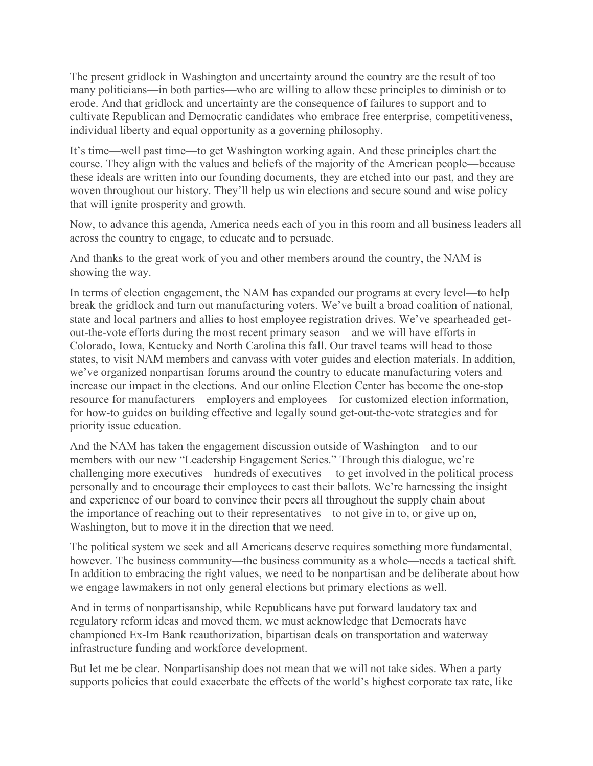The present gridlock in Washington and uncertainty around the country are the result of too many politicians—in both parties—who are willing to allow these principles to diminish or to erode. And that gridlock and uncertainty are the consequence of failures to support and to cultivate Republican and Democratic candidates who embrace free enterprise, competitiveness, individual liberty and equal opportunity as a governing philosophy.

It's time—well past time—to get Washington working again. And these principles chart the course. They align with the values and beliefs of the majority of the American people—because these ideals are written into our founding documents, they are etched into our past, and they are woven throughout our history. They'll help us win elections and secure sound and wise policy that will ignite prosperity and growth.

Now, to advance this agenda, America needs each of you in this room and all business leaders all across the country to engage, to educate and to persuade.

And thanks to the great work of you and other members around the country, the NAM is showing the way.

In terms of election engagement, the NAM has expanded our programs at every level—to help break the gridlock and turn out manufacturing voters. We've built a broad coalition of national, state and local partners and allies to host employee registration drives. We've spearheaded getout-the-vote efforts during the most recent primary season—and we will have efforts in Colorado, Iowa, Kentucky and North Carolina this fall. Our travel teams will head to those states, to visit NAM members and canvass with voter guides and election materials. In addition, we've organized nonpartisan forums around the country to educate manufacturing voters and increase our impact in the elections. And our online Election Center has become the one-stop resource for manufacturers—employers and employees—for customized election information, for how-to guides on building effective and legally sound get-out-the-vote strategies and for priority issue education.

And the NAM has taken the engagement discussion outside of Washington—and to our members with our new "Leadership Engagement Series." Through this dialogue, we're challenging more executives—hundreds of executives— to get involved in the political process personally and to encourage their employees to cast their ballots. We're harnessing the insight and experience of our board to convince their peers all throughout the supply chain about the importance of reaching out to their representatives—to not give in to, or give up on, Washington, but to move it in the direction that we need.

The political system we seek and all Americans deserve requires something more fundamental, however. The business community—the business community as a whole—needs a tactical shift. In addition to embracing the right values, we need to be nonpartisan and be deliberate about how we engage lawmakers in not only general elections but primary elections as well.

And in terms of nonpartisanship, while Republicans have put forward laudatory tax and regulatory reform ideas and moved them, we must acknowledge that Democrats have championed Ex-Im Bank reauthorization, bipartisan deals on transportation and waterway infrastructure funding and workforce development.

But let me be clear. Nonpartisanship does not mean that we will not take sides. When a party supports policies that could exacerbate the effects of the world's highest corporate tax rate, like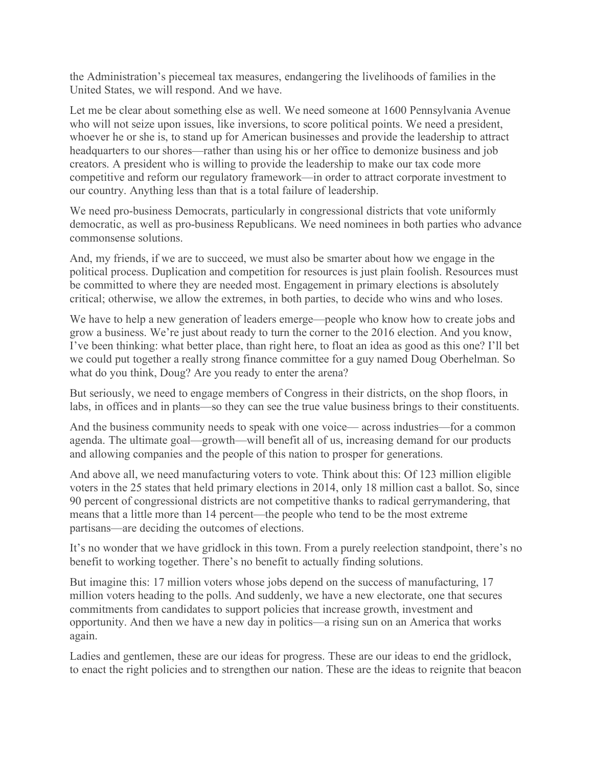the Administration's piecemeal tax measures, endangering the livelihoods of families in the United States, we will respond. And we have.

Let me be clear about something else as well. We need someone at 1600 Pennsylvania Avenue who will not seize upon issues, like inversions, to score political points. We need a president, whoever he or she is, to stand up for American businesses and provide the leadership to attract headquarters to our shores—rather than using his or her office to demonize business and job creators. A president who is willing to provide the leadership to make our tax code more competitive and reform our regulatory framework—in order to attract corporate investment to our country. Anything less than that is a total failure of leadership.

We need pro-business Democrats, particularly in congressional districts that vote uniformly democratic, as well as pro-business Republicans. We need nominees in both parties who advance commonsense solutions.

And, my friends, if we are to succeed, we must also be smarter about how we engage in the political process. Duplication and competition for resources is just plain foolish. Resources must be committed to where they are needed most. Engagement in primary elections is absolutely critical; otherwise, we allow the extremes, in both parties, to decide who wins and who loses.

We have to help a new generation of leaders emerge—people who know how to create jobs and grow a business. We're just about ready to turn the corner to the 2016 election. And you know, I've been thinking: what better place, than right here, to float an idea as good as this one? I'll bet we could put together a really strong finance committee for a guy named Doug Oberhelman. So what do you think, Doug? Are you ready to enter the arena?

But seriously, we need to engage members of Congress in their districts, on the shop floors, in labs, in offices and in plants—so they can see the true value business brings to their constituents.

And the business community needs to speak with one voice— across industries—for a common agenda. The ultimate goal—growth—will benefit all of us, increasing demand for our products and allowing companies and the people of this nation to prosper for generations.

And above all, we need manufacturing voters to vote. Think about this: Of 123 million eligible voters in the 25 states that held primary elections in 2014, only 18 million cast a ballot. So, since 90 percent of congressional districts are not competitive thanks to radical gerrymandering, that means that a little more than 14 percent—the people who tend to be the most extreme partisans—are deciding the outcomes of elections.

It's no wonder that we have gridlock in this town. From a purely reelection standpoint, there's no benefit to working together. There's no benefit to actually finding solutions.

But imagine this: 17 million voters whose jobs depend on the success of manufacturing, 17 million voters heading to the polls. And suddenly, we have a new electorate, one that secures commitments from candidates to support policies that increase growth, investment and opportunity. And then we have a new day in politics—a rising sun on an America that works again.

Ladies and gentlemen, these are our ideas for progress. These are our ideas to end the gridlock, to enact the right policies and to strengthen our nation. These are the ideas to reignite that beacon